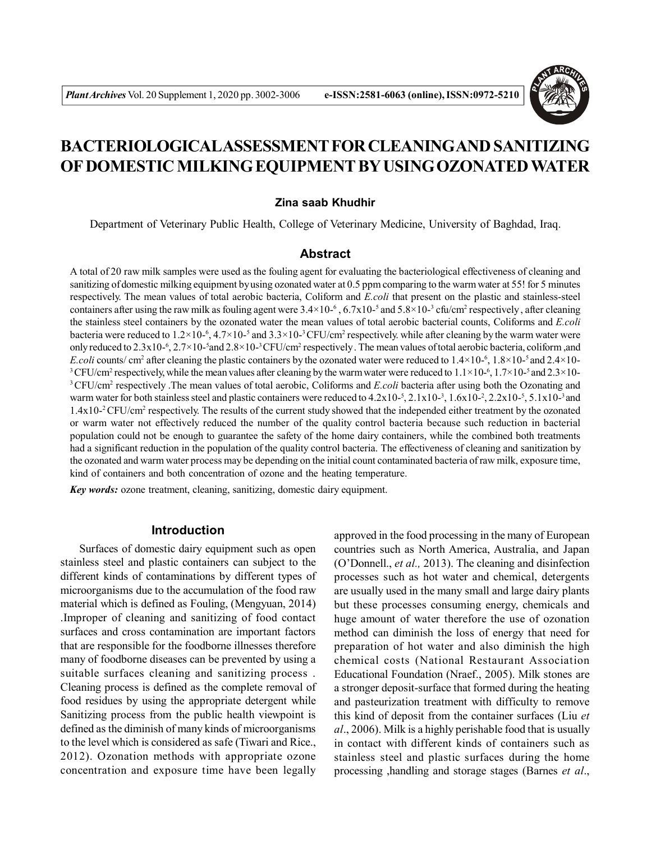

# **BACTERIOLOGICALASSESSMENT FOR CLEANINGAND SANITIZING OF DOMESTIC MILKING EQUIPMENT BY USING OZONATED WATER**

#### **Zina saab Khudhir**

Department of Veterinary Public Health, College of Veterinary Medicine, University of Baghdad, Iraq.

## **Abstract**

A total of 20 raw milk samples were used as the fouling agent for evaluating the bacteriological effectiveness of cleaning and sanitizing of domestic milking equipment by using ozonated water at 0.5 ppm comparing to the warm water at 55! for 5 minutes respectively. The mean values of total aerobic bacteria, Coliform and *E.coli* that present on the plastic and stainless-steel containers after using the raw milk as fouling agent were  $3.4 \times 10^{-6}$ ,  $6.7 \times 10^{-5}$  and  $5.8 \times 10^{-3}$  cfu/cm<sup>2</sup> respectively, after cleaning the stainless steel containers by the ozonated water the mean values of total aerobic bacterial counts, Coliforms and *E.coli* bacteria were reduced to  $1.2 \times 10^{-6}$ ,  $4.7 \times 10^{-5}$  and  $3.3 \times 10^{-3}$  CFU/cm<sup>2</sup> respectively. while after cleaning by the warm water were only reduced to  $2.3 \times 10^{-6}$ ,  $2.7 \times 10^{-5}$  and  $2.8 \times 10^{-3}$  CFU/cm<sup>2</sup> respectively. The mean values of total aerobic bacteria, coliform ,and *E.coli* counts/ cm<sup>2</sup> after cleaning the plastic containers by the ozonated water were reduced to  $1.4 \times 10^{-6}$ ,  $1.8 \times 10^{-5}$  and  $2.4 \times 10^{-6}$  $3$  CFU/cm<sup>2</sup> respectively, while the mean values after cleaning by the warm water were reduced to  $1.1 \times 10^{-6}$ ,  $1.7 \times 10^{-5}$  and  $2.3 \times 10^{-4}$ <sup>3</sup>CFU/cm<sup>2</sup> respectively .The mean values of total aerobic, Coliforms and *E.coli* bacteria after using both the Ozonating and warm water for both stainless steel and plastic containers were reduced to  $4.2x10^{-5}$ ,  $2.1x10^{-3}$ ,  $1.6x10^{-2}$ ,  $2.2x10^{-5}$ ,  $5.1x10^{-3}$  and 1.4x10<sup>-2</sup> CFU/cm<sup>2</sup> respectively. The results of the current study showed that the independed either treatment by the ozonated or warm water not effectively reduced the number of the quality control bacteria because such reduction in bacterial population could not be enough to guarantee the safety of the home dairy containers, while the combined both treatments had a significant reduction in the population of the quality control bacteria. The effectiveness of cleaning and sanitization by the ozonated and warm water process may be depending on the initial count contaminated bacteria of raw milk, exposure time, kind of containers and both concentration of ozone and the heating temperature.

*Key words:* ozone treatment, cleaning, sanitizing, domestic dairy equipment.

#### **Introduction**

Surfaces of domestic dairy equipment such as open stainless steel and plastic containers can subject to the different kinds of contaminations by different types of microorganisms due to the accumulation of the food raw material which is defined as Fouling, (Mengyuan, 2014) .Improper of cleaning and sanitizing of food contact surfaces and cross contamination are important factors that are responsible for the foodborne illnesses therefore many of foodborne diseases can be prevented by using a suitable surfaces cleaning and sanitizing process . Cleaning process is defined as the complete removal of food residues by using the appropriate detergent while Sanitizing process from the public health viewpoint is defined as the diminish of many kinds of microorganisms to the level which is considered as safe (Tiwari and Rice., 2012). Ozonation methods with appropriate ozone concentration and exposure time have been legally

approved in the food processing in the many of European countries such as North America, Australia, and Japan (O'Donnell., *et al.,* 2013). The cleaning and disinfection processes such as hot water and chemical, detergents are usually used in the many small and large dairy plants but these processes consuming energy, chemicals and huge amount of water therefore the use of ozonation method can diminish the loss of energy that need for preparation of hot water and also diminish the high chemical costs (National Restaurant Association Educational Foundation (Nraef., 2005). Milk stones are a stronger deposit-surface that formed during the heating and pasteurization treatment with difficulty to remove this kind of deposit from the container surfaces (Liu *et al*., 2006). Milk is a highly perishable food that is usually in contact with different kinds of containers such as stainless steel and plastic surfaces during the home processing ,handling and storage stages (Barnes *et al*.,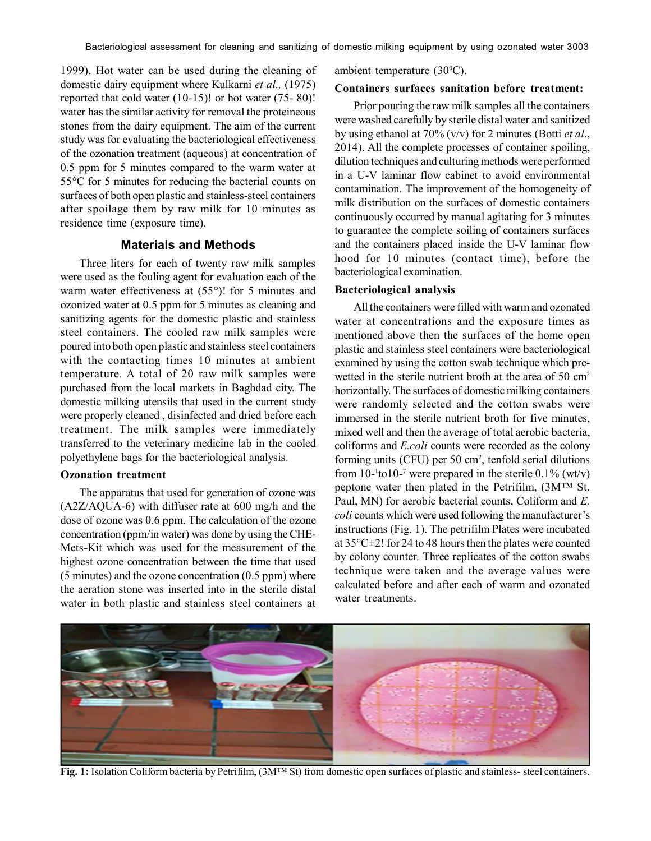1999). Hot water can be used during the cleaning of domestic dairy equipment where Kulkarni *et al.,* (1975) reported that cold water (10-15)! or hot water (75- 80)! water has the similar activity for removal the proteineous stones from the dairy equipment. The aim of the current study was for evaluating the bacteriological effectiveness of the ozonation treatment (aqueous) at concentration of 0.5 ppm for 5 minutes compared to the warm water at 55°C for 5 minutes for reducing the bacterial counts on surfaces of both open plastic and stainless-steel containers after spoilage them by raw milk for 10 minutes as residence time (exposure time).

# **Materials and Methods**

Three liters for each of twenty raw milk samples were used as the fouling agent for evaluation each of the warm water effectiveness at (55°)! for 5 minutes and ozonized water at 0.5 ppm for 5 minutes as cleaning and sanitizing agents for the domestic plastic and stainless steel containers. The cooled raw milk samples were poured into both open plastic and stainless steel containers with the contacting times 10 minutes at ambient temperature. A total of 20 raw milk samples were purchased from the local markets in Baghdad city. The domestic milking utensils that used in the current study were properly cleaned , disinfected and dried before each treatment. The milk samples were immediately transferred to the veterinary medicine lab in the cooled polyethylene bags for the bacteriological analysis.

## **Ozonation treatment**

The apparatus that used for generation of ozone was (A2Z/AQUA-6) with diffuser rate at 600 mg/h and the dose of ozone was 0.6 ppm. The calculation of the ozone concentration (ppm/in water) was done by using the CHE-Mets-Kit which was used for the measurement of the highest ozone concentration between the time that used (5 minutes) and the ozone concentration (0.5 ppm) where the aeration stone was inserted into in the sterile distal water in both plastic and stainless steel containers at

ambient temperature  $(30^{\circ}C)$ .

## **Containers surfaces sanitation before treatment:**

Prior pouring the raw milk samples all the containers were washed carefully by sterile distal water and sanitized by using ethanol at 70% (v/v) for 2 minutes (Botti *et al*., 2014). All the complete processes of container spoiling, dilution techniques and culturing methods were performed in a U-V laminar flow cabinet to avoid environmental contamination. The improvement of the homogeneity of milk distribution on the surfaces of domestic containers continuously occurred by manual agitating for 3 minutes to guarantee the complete soiling of containers surfaces and the containers placed inside the U-V laminar flow hood for 10 minutes (contact time), before the bacteriological examination.

#### **Bacteriological analysis**

All the containers were filled with warm and ozonated water at concentrations and the exposure times as mentioned above then the surfaces of the home open plastic and stainless steel containers were bacteriological examined by using the cotton swab technique which prewetted in the sterile nutrient broth at the area of 50 cm<sup>2</sup> horizontally. The surfaces of domestic milking containers were randomly selected and the cotton swabs were immersed in the sterile nutrient broth for five minutes, mixed well and then the average of total aerobic bacteria, coliforms and *E.coli* counts were recorded as the colony forming units (CFU) per 50 cm<sup>2</sup>, tenfold serial dilutions from  $10$ - $10$ - $7$  were prepared in the sterile 0.1% (wt/v) peptone water then plated in the Petrifilm, (3M™ St. Paul, MN) for aerobic bacterial counts, Coliform and *E. coli* counts which were used following the manufacturer's instructions (Fig. 1). The petrifilm Plates were incubated at 35°C±2! for 24 to 48 hours then the plates were counted by colony counter. Three replicates of the cotton swabs technique were taken and the average values were calculated before and after each of warm and ozonated water treatments.



**Fig. 1:** Isolation Coliform bacteria by Petrifilm, (3M™ St) from domestic open surfaces of plastic and stainless- steel containers.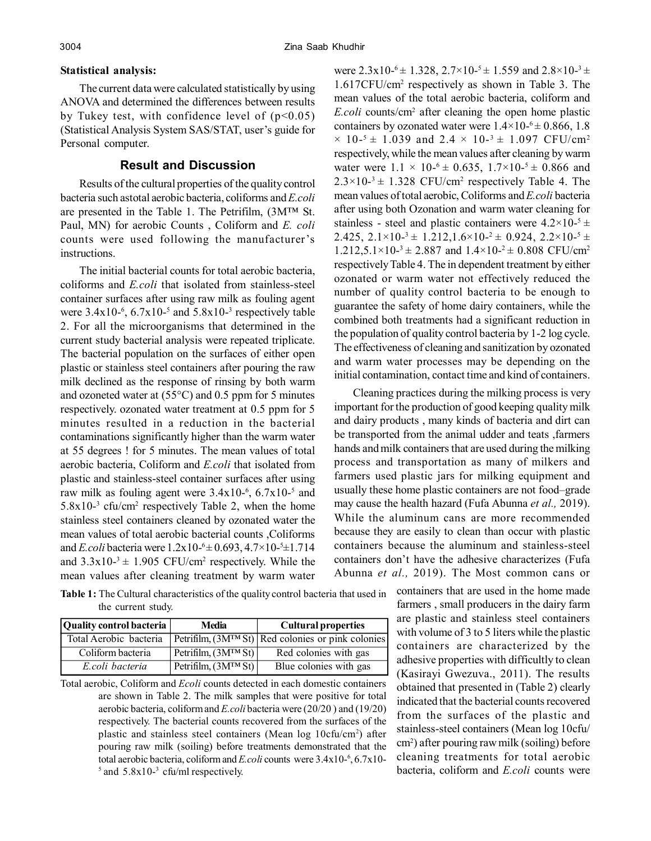#### **Statistical analysis:**

The current data were calculated statistically by using ANOVA and determined the differences between results by Tukey test, with confidence level of  $(p<0.05)$ (Statistical Analysis System SAS/STAT, user's guide for Personal computer.

# **Result and Discussion**

Results of the cultural properties of the quality control bacteria such astotal aerobic bacteria, coliforms and *E.coli* are presented in the Table 1. The Petrifilm, (3M™ St. Paul, MN) for aerobic Counts , Coliform and *E. coli* counts were used following the manufacturer's instructions.

The initial bacterial counts for total aerobic bacteria, coliforms and *E.coli* that isolated from stainless-steel container surfaces after using raw milk as fouling agent were  $3.4 \times 10^{-6}$ ,  $6.7 \times 10^{-5}$  and  $5.8 \times 10^{-3}$  respectively table 2. For all the microorganisms that determined in the current study bacterial analysis were repeated triplicate. The bacterial population on the surfaces of either open plastic or stainless steel containers after pouring the raw milk declined as the response of rinsing by both warm and ozoneted water at (55°C) and 0.5 ppm for 5 minutes respectively. ozonated water treatment at 0.5 ppm for 5 minutes resulted in a reduction in the bacterial contaminations significantly higher than the warm water at 55 degrees ! for 5 minutes. The mean values of total aerobic bacteria, Coliform and *E.coli* that isolated from plastic and stainless-steel container surfaces after using raw milk as fouling agent were  $3.4x10^{-6}$ ,  $6.7x10^{-5}$  and  $5.8x10^{-3}$  cfu/cm<sup>2</sup> respectively Table 2, when the home stainless steel containers cleaned by ozonated water the mean values of total aerobic bacterial counts ,Coliforms and *E.coli* bacteria were  $1.2x10^{-6} \pm 0.693$ ,  $4.7 \times 10^{-5} \pm 1.714$ and  $3.3x10^{-3} \pm 1.905$  CFU/cm<sup>2</sup> respectively. While the mean values after cleaning treatment by warm water were  $2.3 \times 10^{-6} \pm 1.328$ ,  $2.7 \times 10^{-5} \pm 1.559$  and  $2.8 \times 10^{-3} \pm 1.559$ 1.617CFU/cm<sup>2</sup> respectively as shown in Table 3. The mean values of the total aerobic bacteria, coliform and *E.coli* counts/cm<sup>2</sup> after cleaning the open home plastic containers by ozonated water were  $1.4\times10^{-6} \pm 0.866$ , 1.8  $\times$  10-<sup>5</sup>  $\pm$  1.039 and 2.4  $\times$  10-<sup>3</sup>  $\pm$  1.097 CFU/cm<sup>2</sup> respectively, while the mean values after cleaning by warm water were  $1.1 \times 10^{-6} \pm 0.635$ ,  $1.7 \times 10^{-5} \pm 0.866$  and  $2.3 \times 10^{-3} \pm 1.328$  CFU/cm<sup>2</sup> respectively Table 4. The mean values of total aerobic, Coliforms and *E.coli* bacteria after using both Ozonation and warm water cleaning for stainless - steel and plastic containers were  $4.2 \times 10^{-5}$  ± 2.425,  $2.1 \times 10^{-3} \pm 1.212$ ,  $1.6 \times 10^{-2} \pm 0.924$ ,  $2.2 \times 10^{-5} \pm 1.212$  $1.212,5.1\times10^{-3} \pm 2.887$  and  $1.4\times10^{-2} \pm 0.808$  CFU/cm<sup>2</sup> respectively Table 4. The in dependent treatment by either ozonated or warm water not effectively reduced the number of quality control bacteria to be enough to guarantee the safety of home dairy containers, while the combined both treatments had a significant reduction in the population of quality control bacteria by 1-2 log cycle. The effectiveness of cleaning and sanitization by ozonated and warm water processes may be depending on the initial contamination, contact time and kind of containers.

Cleaning practices during the milking process is very important for the production of good keeping quality milk and dairy products , many kinds of bacteria and dirt can be transported from the animal udder and teats ,farmers hands and milk containers that are used during the milking process and transportation as many of milkers and farmers used plastic jars for milking equipment and usually these home plastic containers are not food–grade may cause the health hazard (Fufa Abunna *et al.,* 2019). While the aluminum cans are more recommended because they are easily to clean than occur with plastic containers because the aluminum and stainless-steel containers don't have the adhesive characterizes (Fufa Abunna *et al.,* 2019). The Most common cans or

**Table 1:** The Cultural characteristics of the quality control bacteria that used in the current study.

| Quality control bacteria | Media                    | <b>Cultural properties</b>                                                 |  |
|--------------------------|--------------------------|----------------------------------------------------------------------------|--|
| Total Aerobic bacteria   |                          | $\varepsilon$ Petrifilm, $\frac{3M^{TM}St}{Red}$ colonies or pink colonies |  |
| Coliform bacteria        | Petrifilm, $(3M^{TM}St)$ | Red colonies with gas                                                      |  |
| E.coli bacteria          | Petrifilm, $(3M^{TM}St)$ | Blue colonies with gas                                                     |  |

Total aerobic, Coliform and *Ecoli* counts detected in each domestic containers are shown in Table 2. The milk samples that were positive for total aerobic bacteria, coliform and *E.coli* bacteria were (20/20 ) and (19/20) respectively. The bacterial counts recovered from the surfaces of the plastic and stainless steel containers (Mean log 10cfu/cm<sup>2</sup>) after pouring raw milk (soiling) before treatments demonstrated that the total aerobic bacteria, coliform and *E.coli* counts were  $3.4x10^{-6}$ ,  $6.7x10$ - $5$  and  $5.8x10^{-3}$  cfu/ml respectively.

containers that are used in the home made farmers , small producers in the dairy farm are plastic and stainless steel containers with volume of 3 to 5 liters while the plastic containers are characterized by the adhesive properties with difficultly to clean (Kasirayi Gwezuva., 2011). The results obtained that presented in (Table 2) clearly indicated that the bacterial counts recovered from the surfaces of the plastic and stainless-steel containers (Mean log 10cfu/ cm<sup>2</sup> ) after pouring raw milk (soiling) before cleaning treatments for total aerobic bacteria, coliform and *E.coli* counts were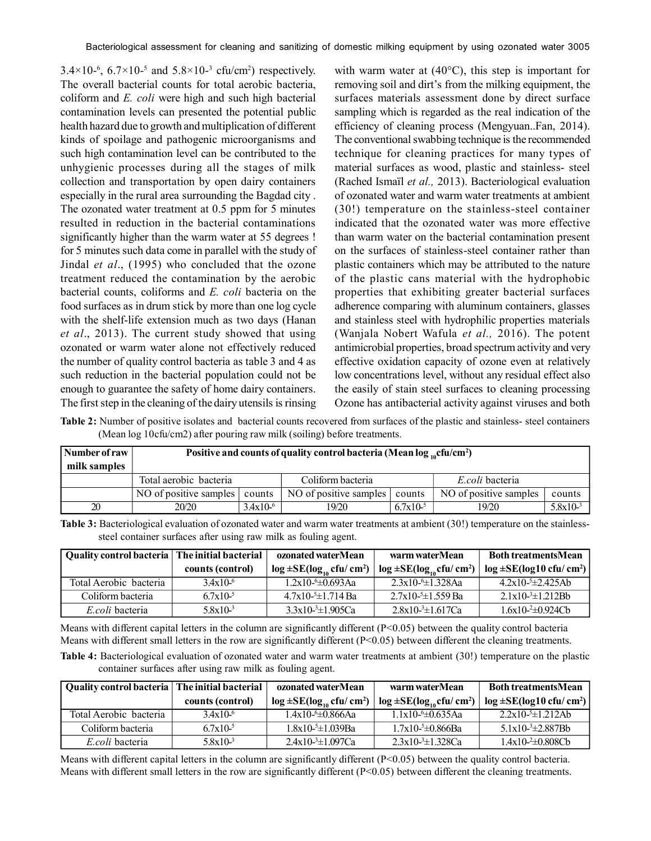$3.4 \times 10^{-6}$ ,  $6.7 \times 10^{-5}$  and  $5.8 \times 10^{-3}$  cfu/cm<sup>2</sup>) respectively. The overall bacterial counts for total aerobic bacteria, coliform and *E. coli* were high and such high bacterial contamination levels can presented the potential public health hazard due to growth and multiplication of different kinds of spoilage and pathogenic microorganisms and such high contamination level can be contributed to the unhygienic processes during all the stages of milk collection and transportation by open dairy containers especially in the rural area surrounding the Bagdad city . The ozonated water treatment at 0.5 ppm for 5 minutes resulted in reduction in the bacterial contaminations significantly higher than the warm water at 55 degrees ! for 5 minutes such data come in parallel with the study of Jindal *et al*., (1995) who concluded that the ozone treatment reduced the contamination by the aerobic bacterial counts, coliforms and *E. coli* bacteria on the food surfaces as in drum stick by more than one log cycle with the shelf-life extension much as two days (Hanan *et al*., 2013). The current study showed that using ozonated or warm water alone not effectively reduced the number of quality control bacteria as table 3 and 4 as such reduction in the bacterial population could not be enough to guarantee the safety of home dairy containers. The first step in the cleaning of the dairy utensils is rinsing

with warm water at  $(40^{\circ}C)$ , this step is important for removing soil and dirt's from the milking equipment, the surfaces materials assessment done by direct surface sampling which is regarded as the real indication of the efficiency of cleaning process (Mengyuan..Fan, 2014). The conventional swabbing technique is the recommended technique for cleaning practices for many types of material surfaces as wood, plastic and stainless- steel (Rached Ismaïl *et al.,* 2013). Bacteriological evaluation of ozonated water and warm water treatments at ambient (30!) temperature on the stainless-steel container indicated that the ozonated water was more effective than warm water on the bacterial contamination present on the surfaces of stainless-steel container rather than plastic containers which may be attributed to the nature of the plastic cans material with the hydrophobic properties that exhibiting greater bacterial surfaces adherence comparing with aluminum containers, glasses and stainless steel with hydrophilic properties materials (Wanjala Nobert Wafula *et al.,* 2016). The potent antimicrobial properties, broad spectrum activity and very effective oxidation capacity of ozone even at relatively low concentrations level, without any residual effect also the easily of stain steel surfaces to cleaning processing Ozone has antibacterial activity against viruses and both

**Table 2:** Number of positive isolates and bacterial counts recovered from surfaces of the plastic and stainless- steel containers (Mean log 10cfu/cm2) after pouring raw milk (soiling) before treatments.

| Number of raw | Positive and counts of quality control bacteria (Mean $log_{10}$ cfu/cm <sup>2</sup> ) |               |                        |               |                        |               |  |
|---------------|----------------------------------------------------------------------------------------|---------------|------------------------|---------------|------------------------|---------------|--|
| milk samples  |                                                                                        |               |                        |               |                        |               |  |
|               | Total aerobic bacteria                                                                 |               | Coliform bacteria      |               | E.coli bacteria        |               |  |
|               | NO of positive samples                                                                 | counts        | NO of positive samples | counts        | NO of positive samples | counts        |  |
| 20            | 20/20                                                                                  | $3.4x10^{-6}$ | 19/20                  | $6.7x10^{-5}$ | 19/20                  | $5.8x10^{-3}$ |  |

**Table 3:** Bacteriological evaluation of ozonated water and warm water treatments at ambient (30!) temperature on the stainlesssteel container surfaces after using raw milk as fouling agent.

| Quality control bacteria   The initial bacterial |                      | ozonated waterMean              | warm water Mean                                   | <b>Both treatmentsMean</b>            |  |
|--------------------------------------------------|----------------------|---------------------------------|---------------------------------------------------|---------------------------------------|--|
|                                                  | counts (control)     | $log \pm SE(log_{10} cfu/cm^2)$ | $\log \pm SE(\log_{10} c \text{fu}/ \text{cm}^2)$ | $log \pm SE(log10 \text{ cftl/cm}^2)$ |  |
| Total Aerobic bacteria                           | $3.4 \times 10^{-6}$ | $1.2x10-6\pm0.693Aa$            | $2.3x10-6\pm1.328$ Aa                             | $4.2x10-5\pm2.425Ab$                  |  |
| Coliform bacteria                                | $67x10^{-5}$         | $4.7x10^{-5}$ $\pm$ 1.714 Ba    | $2.7x10-5\pm1.559$ Ba                             | $21x10-3\pm1212Bh$                    |  |
| E coli bacteria                                  | $5.8x10^{-3}$        | $3.3x10^{-3} \pm 1.905Ca$       | $2.8x10^{-3} \pm 1.617Ca$                         | $1.6x10^{-2} \pm 0.924Cb$             |  |

Means with different capital letters in the column are significantly different  $(P<0.05)$  between the quality control bacteria Means with different small letters in the row are significantly different  $(P<0.05)$  between different the cleaning treatments.

**Table 4:** Bacteriological evaluation of ozonated water and warm water treatments at ambient (30!) temperature on the plastic container surfaces after using raw milk as fouling agent.

| Quality control bacteria   The initial bacterial |                  | ozonated waterMean                        | warm waterMean                            | <b>Both treatmentsMean</b>                   |  |
|--------------------------------------------------|------------------|-------------------------------------------|-------------------------------------------|----------------------------------------------|--|
|                                                  | counts (control) | $\log \pm SE(\log_{10} c \text{fu/cm}^2)$ | $\log \pm SE(\log_{10} c \text{fu/cm}^2)$ | $log \pm SE(log10 \text{ cft}/\text{ cm}^2)$ |  |
| Total Aerobic bacteria                           | $34x10^{-6}$     | $1.4x10-6\pm0.866Aa$                      | $11x10-6\pm 0635$ Aa                      | $2.2x10^{-5} \pm 1.212Ab$                    |  |
| Coliform bacteria                                | $67x10^{-5}$     | $1.8x10-5\pm1.039Ba$                      | $1.7x10^{-5} \pm 0.866$ Ba                | $5.1 \times 10^{-3} \pm 2.887$ Bh            |  |
| E.coli bacteria                                  | $5.8x10^{-3}$    | $2.4x10^{-3} \pm 1.097Ca$                 | $2.3x10^{-3} \pm 1.328Ca$                 | $1.4x10^{-2} \pm 0.808Cb$                    |  |

Means with different capital letters in the column are significantly different  $(P<0.05)$  between the quality control bacteria. Means with different small letters in the row are significantly different  $(P<0.05)$  between different the cleaning treatments.